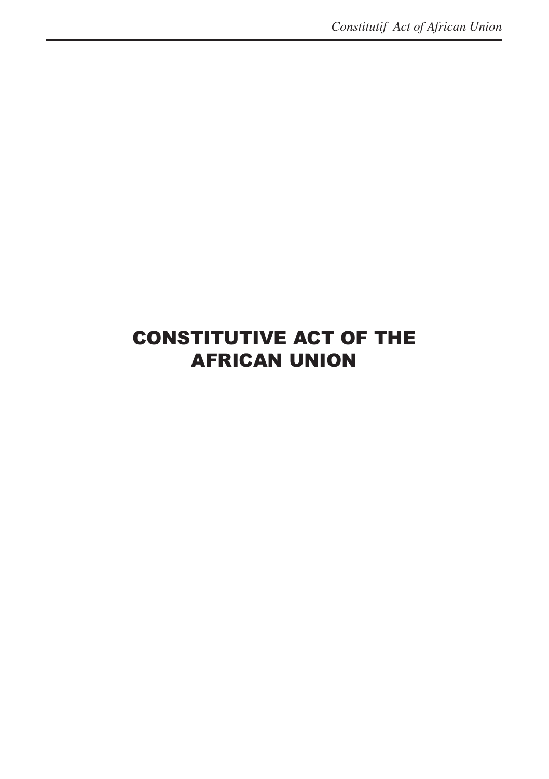# CONSTITUTIVE ACT OF THE AFRICAN UNION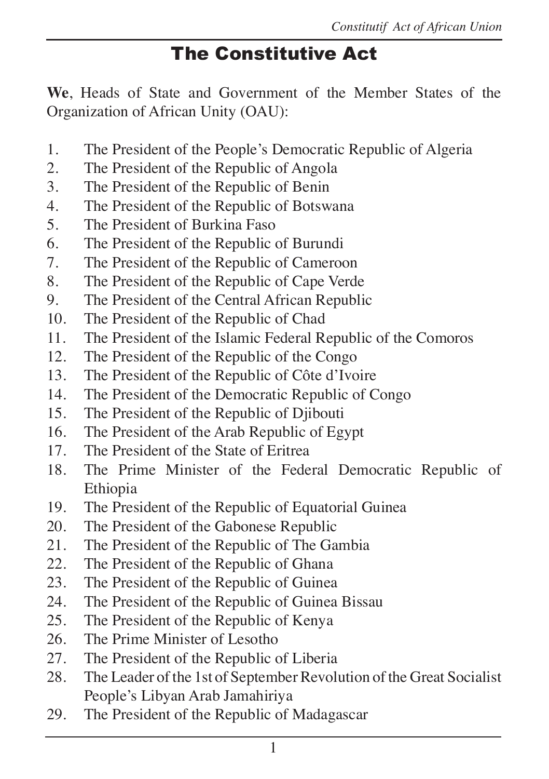# The Constitutive Act

**We**, Heads of State and Government of the Member States of the Organization of African Unity (OAU):

- 1. The President of the People's Democratic Republic of Algeria
- 2. The President of the Republic of Angola
- 3. The President of the Republic of Benin
- 4. The President of the Republic of Botswana
- 5. The President of Burkina Faso
- 6. The President of the Republic of Burundi
- 7. The President of the Republic of Cameroon
- 8. The President of the Republic of Cape Verde
- 9. The President of the Central African Republic
- 10. The President of the Republic of Chad
- 11. The President of the Islamic Federal Republic of the Comoros
- 12. The President of the Republic of the Congo
- 13. The President of the Republic of Côte d'Ivoire
- 14. The President of the Democratic Republic of Congo
- 15. The President of the Republic of Djibouti
- 16. The President of the Arab Republic of Egypt
- 17. The President of the State of Eritrea
- 18. The Prime Minister of the Federal Democratic Republic of Ethiopia
- 19. The President of the Republic of Equatorial Guinea
- 20. The President of the Gabonese Republic
- 21. The President of the Republic of The Gambia
- 22. The President of the Republic of Ghana
- 23. The President of the Republic of Guinea
- 24. The President of the Republic of Guinea Bissau
- 25. The President of the Republic of Kenya
- 26. The Prime Minister of Lesotho
- 27. The President of the Republic of Liberia
- 28. The Leader of the 1st of September Revolution of the Great Socialist People's Libyan Arab Jamahiriya
- 29. The President of the Republic of Madagascar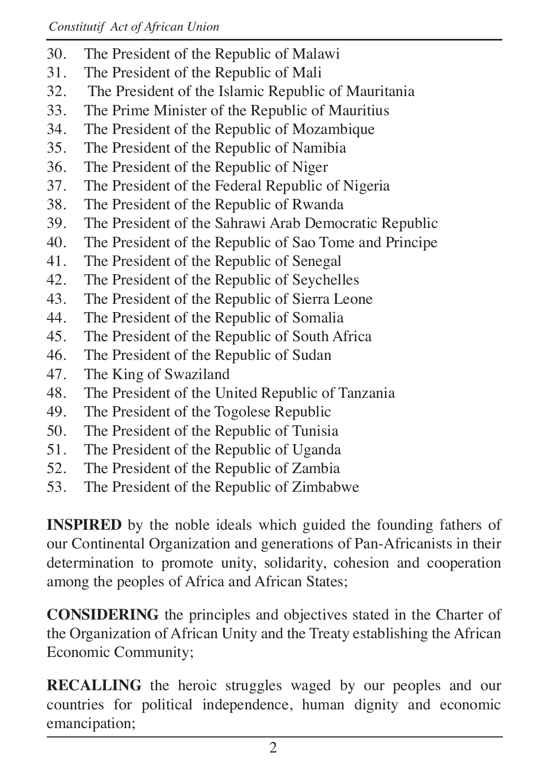- 30. The President of the Republic of Malawi
- 31. The President of the Republic of Mali<br>32. The President of the Islamic Republic
- The President of the Islamic Republic of Mauritania
- 33. The Prime Minister of the Republic of Mauritius
- 34. The President of the Republic of Mozambique
- 35. The President of the Republic of Namibia
- 36. The President of the Republic of Niger<br>37. The President of the Federal Republic
- The President of the Federal Republic of Nigeria
- 38. The President of the Republic of Rwanda
- 39. The President of the Sahrawi Arab Democratic Republic
- 40. The President of the Republic of Sao Tome and Principe
- 41. The President of the Republic of Senegal
- 42. The President of the Republic of Seychelles
- 43. The President of the Republic of Sierra Leone
- 44. The President of the Republic of Somalia
- 45. The President of the Republic of South Africa
- 46. The President of the Republic of Sudan
- 47. The King of Swaziland
- 48. The President of the United Republic of Tanzania
- 49. The President of the Togolese Republic
- 50. The President of the Republic of Tunisia
- 51. The President of the Republic of Uganda
- 52. The President of the Republic of Zambia
- 53. The President of the Republic of Zimbabwe

**INSPIRED** by the noble ideals which guided the founding fathers of our Continental Organization and generations of Pan-Africanists in their determination to promote unity, solidarity, cohesion and cooperation among the peoples of Africa and African States;

**CONSIDERING** the principles and objectives stated in the Charter of the Organization of African Unity and the Treaty establishing the African Economic Community;

**RECALLING** the heroic struggles waged by our peoples and our countries for political independence, human dignity and economic emancipation;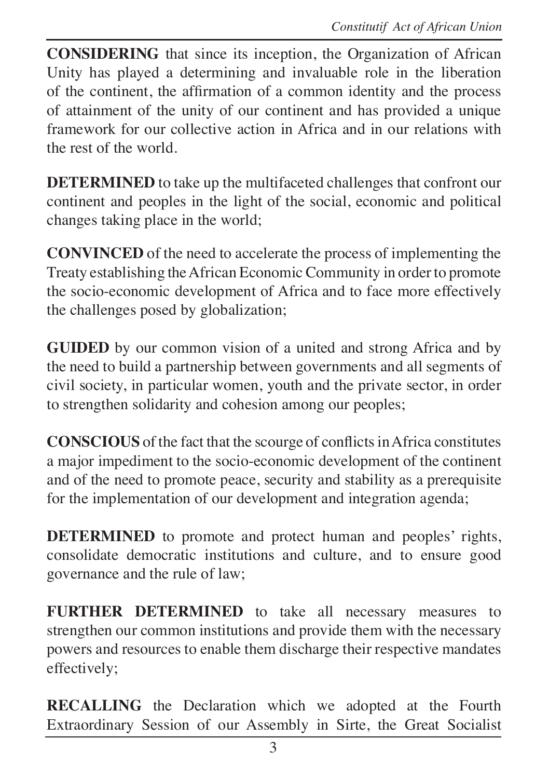**CONSIDERING** that since its inception, the Organization of African Unity has played a determining and invaluable role in the liberation of the continent, the affirmation of a common identity and the process of attainment of the unity of our continent and has provided a unique framework for our collective action in Africa and in our relations with the rest of the world.

**DETERMINED** to take up the multifaceted challenges that confront our continent and peoples in the light of the social, economic and political changes taking place in the world;

**CONVINCED** of the need to accelerate the process of implementing the Treaty establishing the African Economic Community in order to promote the socio-economic development of Africa and to face more effectively the challenges posed by globalization;

**GUIDED** by our common vision of a united and strong Africa and by the need to build a partnership between governments and all segments of civil society, in particular women, youth and the private sector, in order to strengthen solidarity and cohesion among our peoples;

**CONSCIOUS** of the fact that the scourge of conflicts in Africa constitutes a major impediment to the socio-economic development of the continent and of the need to promote peace, security and stability as a prerequisite for the implementation of our development and integration agenda;

**DETERMINED** to promote and protect human and peoples' rights, consolidate democratic institutions and culture, and to ensure good governance and the rule of law;

**FURTHER DETERMINED** to take all necessary measures to strengthen our common institutions and provide them with the necessary powers and resources to enable them discharge their respective mandates effectively;

**RECALLING** the Declaration which we adopted at the Fourth Extraordinary Session of our Assembly in Sirte, the Great Socialist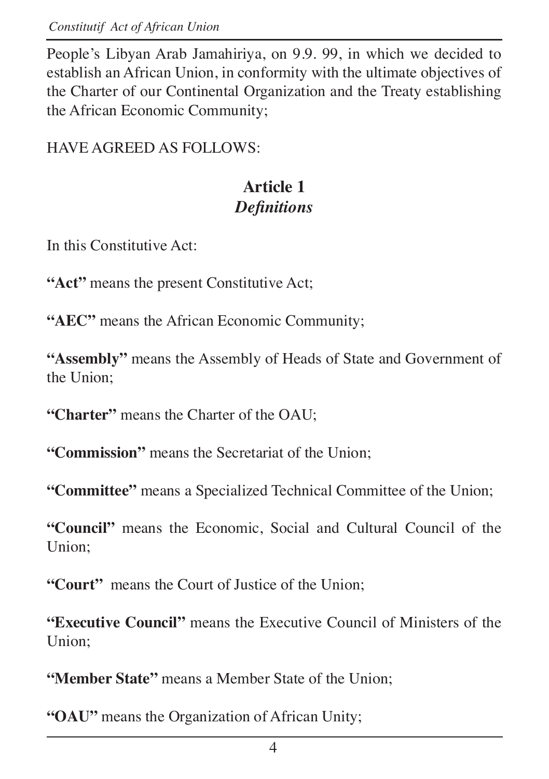*Constitutif Act of African Union* 

People's Libyan Arab Jamahiriya, on 9.9. 99, in which we decided to establish an African Union, in conformity with the ultimate objectives of the Charter of our Continental Organization and the Treaty establishing the African Economic Community;

HAVE AGREED AS FOLLOWS:

# **Article 1**  $$

In this Constitutive Act:

**"Act"** means the present Constitutive Act;

**"AEC"** means the African Economic Community;

**"Assembly"** means the Assembly of Heads of State and Government of the Union;

**"Charter"** means the Charter of the OAU;

**"Commission"** means the Secretariat of the Union;

**"Committee"** means a Specialized Technical Committee of the Union;

**"Council"** means the Economic, Social and Cultural Council of the Union;

**"Court"** means the Court of Justice of the Union;

**"Executive Council"** means the Executive Council of Ministers of the Union;

**"Member State"** means a Member State of the Union;

**"OAU"** means the Organization of African Unity;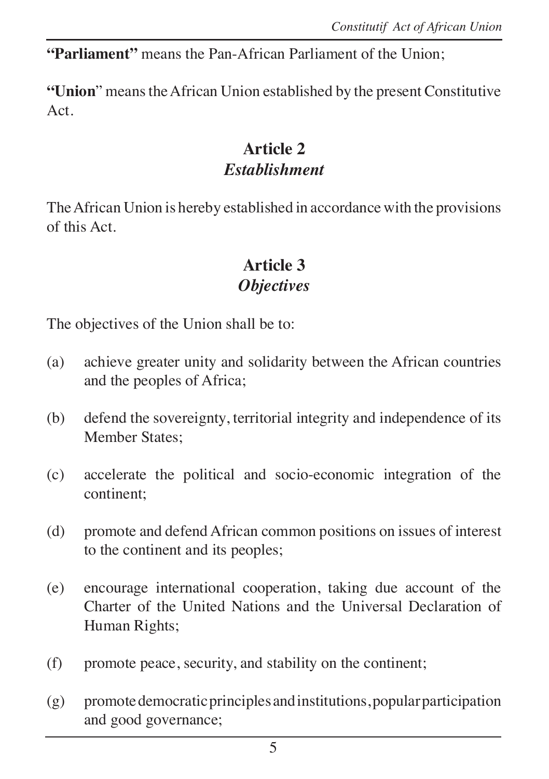**"Parliament"** means the Pan-African Parliament of the Union;

**"Union**" means the African Union established by the present Constitutive Act.

#### **Article 2**  $$

The African Union is hereby established in accordance with the provisions of this Act.

# **Article 3** *<u>Objectives</u>*

The objectives of the Union shall be to:

- (a) achieve greater unity and solidarity between the African countries and the peoples of Africa;
- (b) defend the sovereignty, territorial integrity and independence of its Member States;
- (c) accelerate the political and socio-economic integration of the continent;
- (d) promote and defend African common positions on issues of interest to the continent and its peoples;
- (e) encourage international cooperation, taking due account of the Charter of the United Nations and the Universal Declaration of Human Rights;
- (f) promote peace, security, and stability on the continent;
- (g) promote democratic principles and institutions, popular participation and good governance;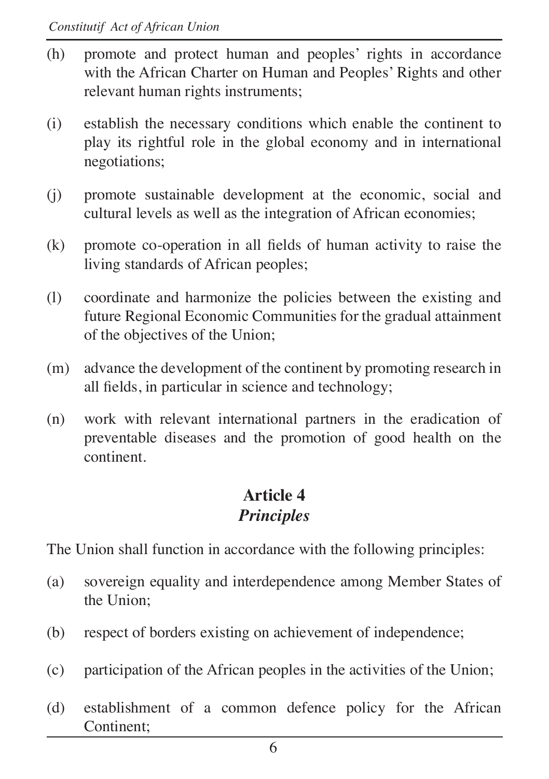- (h) promote and protect human and peoples' rights in accordance with the African Charter on Human and Peoples' Rights and other relevant human rights instruments;
- (i) establish the necessary conditions which enable the continent to play its rightful role in the global economy and in international negotiations;
- (j) promote sustainable development at the economic, social and cultural levels as well as the integration of African economies;
- $(k)$  promote co-operation in all fields of human activity to raise the living standards of African peoples;
- (l) coordinate and harmonize the policies between the existing and future Regional Economic Communities for the gradual attainment of the objectives of the Union;
- (m) advance the development of the continent by promoting research in all fields, in particular in science and technology;
- (n) work with relevant international partners in the eradication of preventable diseases and the promotion of good health on the continent.

#### **Article 4** *Principles*

The Union shall function in accordance with the following principles:

- (a) sovereign equality and interdependence among Member States of the Union;
- (b) respect of borders existing on achievement of independence;
- (c) participation of the African peoples in the activities of the Union;
- (d) establishment of a common defence policy for the African Continent;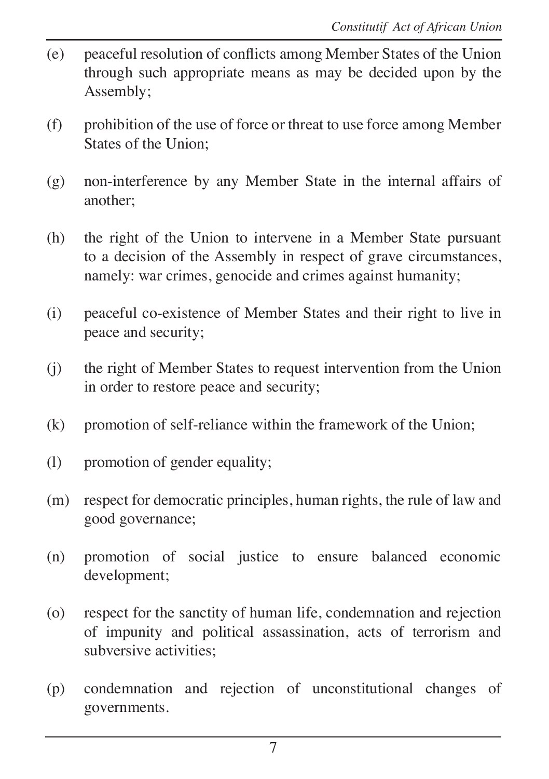- $(e)$  peaceful resolution of conflicts among Member States of the Union through such appropriate means as may be decided upon by the Assembly;
- (f) prohibition of the use of force or threat to use force among Member States of the Union;
- (g) non-interference by any Member State in the internal affairs of another;
- (h) the right of the Union to intervene in a Member State pursuant to a decision of the Assembly in respect of grave circumstances, namely: war crimes, genocide and crimes against humanity;
- (i) peaceful co-existence of Member States and their right to live in peace and security;
- (j) the right of Member States to request intervention from the Union in order to restore peace and security;
- (k) promotion of self-reliance within the framework of the Union;
- (l) promotion of gender equality;
- (m) respect for democratic principles, human rights, the rule of law and good governance;
- (n) promotion of social justice to ensure balanced economic development;
- (o) respect for the sanctity of human life, condemnation and rejection of impunity and political assassination, acts of terrorism and subversive activities;
- (p) condemnation and rejection of unconstitutional changes of governments.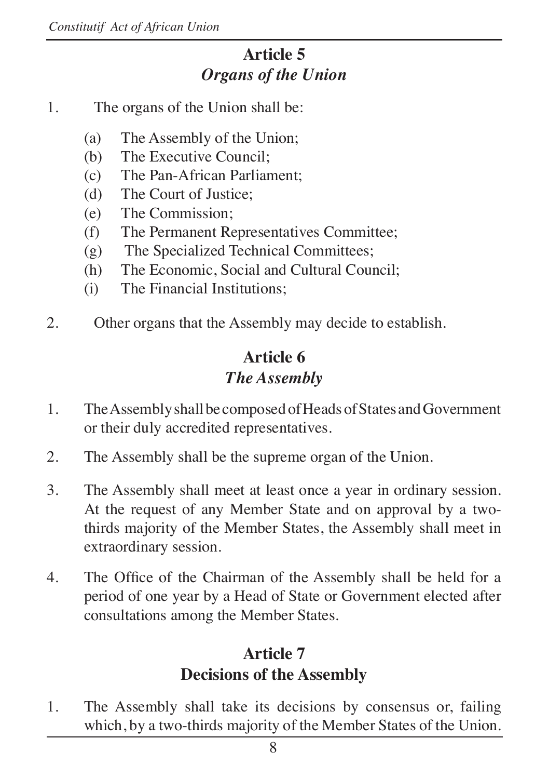### **Article 5** *<u>Organs of the Union</u>*

- 1. The organs of the Union shall be:
	- (a) The Assembly of the Union;
	- (b) The Executive Council;
	- (c) The Pan-African Parliament;
	- (d) The Court of Justice;
	- (e) The Commission;
	- (f) The Permanent Representatives Committee;
	- (g) The Specialized Technical Committees;
	- (h) The Economic, Social and Cultural Council;
	- (i) The Financial Institutions;
- 2. Other organs that the Assembly may decide to establish.

### **Article 6** *The Assembly*

- 1. The Assembly shall be composed of Heads of States and Government or their duly accredited representatives.
- 2. The Assembly shall be the supreme organ of the Union.
- 3. The Assembly shall meet at least once a year in ordinary session. At the request of any Member State and on approval by a twothirds majority of the Member States, the Assembly shall meet in extraordinary session.
- 4. The Office of the Chairman of the Assembly shall be held for a period of one year by a Head of State or Government elected after consultations among the Member States.

## **Article 7 Decisions of the Assembly**

1. The Assembly shall take its decisions by consensus or, failing which, by a two-thirds majority of the Member States of the Union.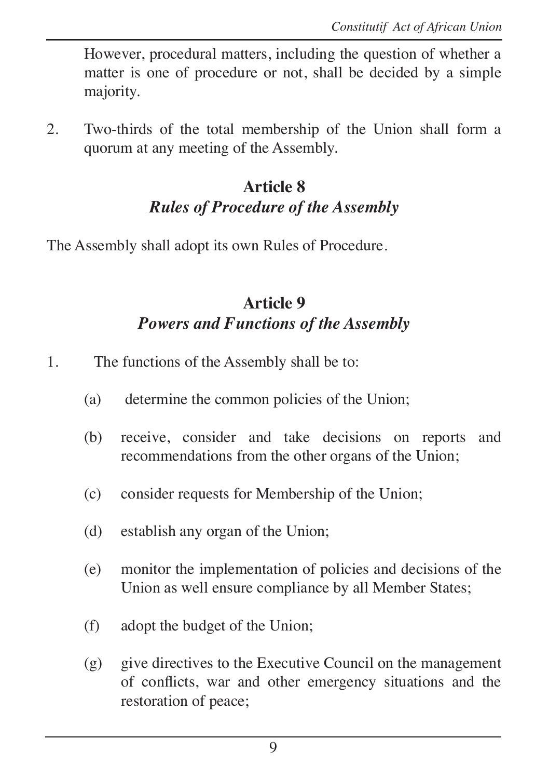However, procedural matters, including the question of whether a matter is one of procedure or not, shall be decided by a simple majority.

2. Two-thirds of the total membership of the Union shall form a quorum at any meeting of the Assembly.

# **Article 8** *Rules of Procedure of the Assembly*

The Assembly shall adopt its own Rules of Procedure.

#### **Article 9** *Powers and Functions of the Assembly*

- 1. The functions of the Assembly shall be to:
	- (a) determine the common policies of the Union;
	- (b) receive, consider and take decisions on reports and recommendations from the other organs of the Union;
	- (c) consider requests for Membership of the Union;
	- (d) establish any organ of the Union;
	- (e) monitor the implementation of policies and decisions of the Union as well ensure compliance by all Member States;
	- (f) adopt the budget of the Union;
	- (g) give directives to the Executive Council on the management of conflicts, war and other emergency situations and the restoration of peace;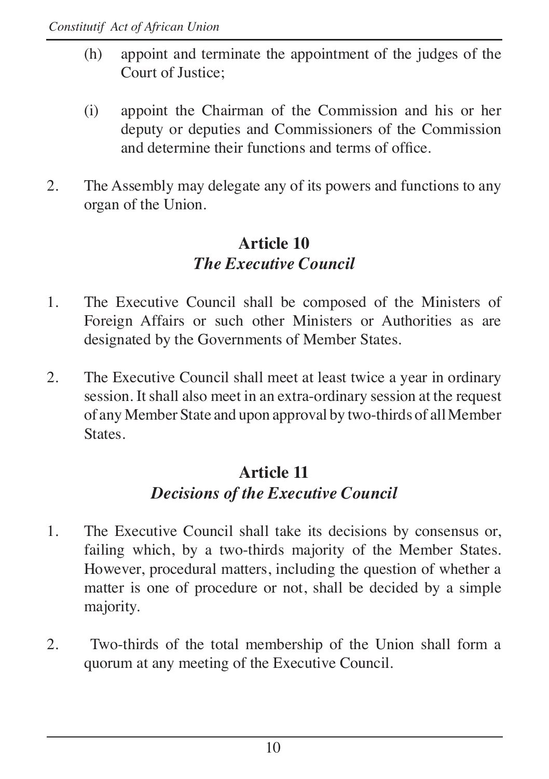- (h) appoint and terminate the appointment of the judges of the Court of Justice;
- (i) appoint the Chairman of the Commission and his or her deputy or deputies and Commissioners of the Commission and determine their functions and terms of office
- 2. The Assembly may delegate any of its powers and functions to any organ of the Union.

# **Article 10** *<i>The Executive Council*

- 1. The Executive Council shall be composed of the Ministers of Foreign Affairs or such other Ministers or Authorities as are designated by the Governments of Member States.
- 2. The Executive Council shall meet at least twice a year in ordinary session. It shall also meet in an extra-ordinary session at the request of any Member State and upon approval by two-thirds of all Member **States**

# **Article 11 Decisions of the Executive Council**

- 1. The Executive Council shall take its decisions by consensus or, failing which, by a two-thirds majority of the Member States. However, procedural matters, including the question of whether a matter is one of procedure or not, shall be decided by a simple majority.
- 2. Two-thirds of the total membership of the Union shall form a quorum at any meeting of the Executive Council.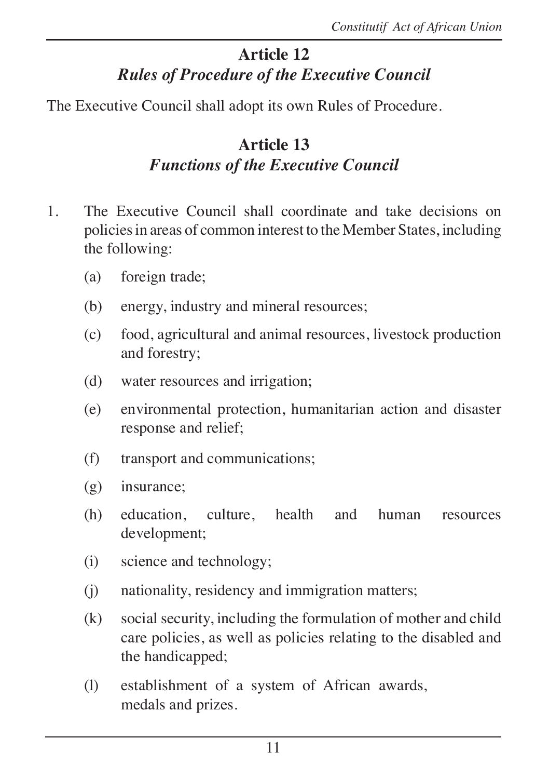# **Article 12** *Rules of Procedure of the Executive Council*

The Executive Council shall adopt its own Rules of Procedure.

## **Article 13** *Functions of the Executive Council*

- 1. The Executive Council shall coordinate and take decisions on policies in areas of common interest to the Member States, including the following:
	- (a) foreign trade;
	- (b) energy, industry and mineral resources;
	- (c) food, agricultural and animal resources, livestock production and forestry;
	- (d) water resources and irrigation;
	- (e) environmental protection, humanitarian action and disaster response and relief;
	- (f) transport and communications;
	- (g) insurance;
	- (h) education, culture, health and human resources development;
	- (i) science and technology;
	- (j) nationality, residency and immigration matters;
	- (k) social security, including the formulation of mother and child care policies, as well as policies relating to the disabled and the handicapped;
	- (l) establishment of a system of African awards, medals and prizes.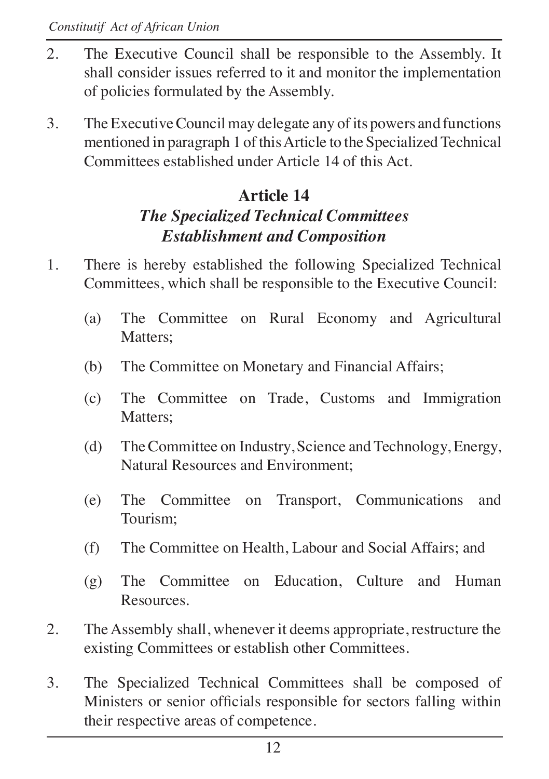- 2. The Executive Council shall be responsible to the Assembly. It shall consider issues referred to it and monitor the implementation of policies formulated by the Assembly.
- 3. The Executive Council may delegate any of its powers and functions mentioned in paragraph 1 of this Article to the Specialized Technical Committees established under Article 14 of this Act.

# **Article 14**

# *The Specialized Technical Committees*  $Establishment$  and Composition

- 1. There is hereby established the following Specialized Technical Committees, which shall be responsible to the Executive Council:
	- (a) The Committee on Rural Economy and Agricultural Matters:
	- (b) The Committee on Monetary and Financial Affairs;
	- (c) The Committee on Trade, Customs and Immigration Matters:
	- (d) The Committee on Industry, Science and Technology, Energy, Natural Resources and Environment;
	- (e) The Committee on Transport, Communications and Tourism;
	- (f) The Committee on Health, Labour and Social Affairs; and
	- (g) The Committee on Education, Culture and Human Resources.
- 2. The Assembly shall, whenever it deems appropriate, restructure the existing Committees or establish other Committees.
- 3. The Specialized Technical Committees shall be composed of Ministers or senior officials responsible for sectors falling within their respective areas of competence.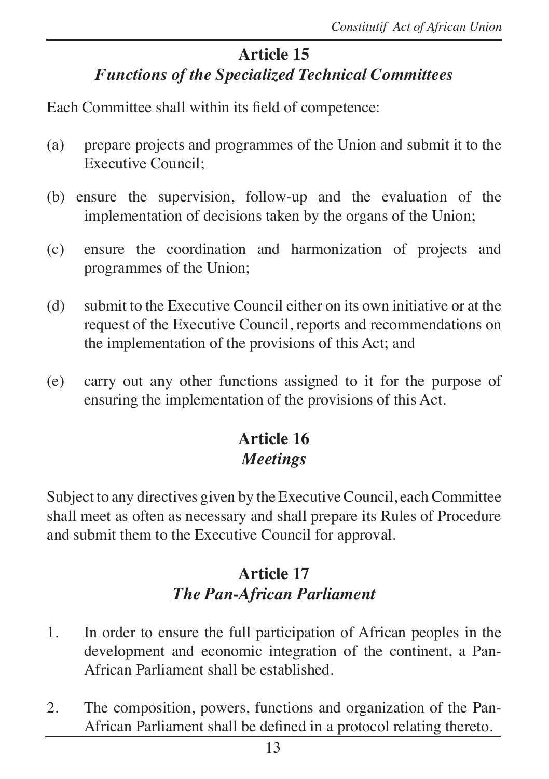### **Article 15**  *Functions of the Specialized Technical Committees*

Each Committee shall within its field of competence:

- (a) prepare projects and programmes of the Union and submit it to the Executive Council;
- (b) ensure the supervision, follow-up and the evaluation of the implementation of decisions taken by the organs of the Union;
- (c) ensure the coordination and harmonization of projects and programmes of the Union;
- (d) submit to the Executive Council either on its own initiative or at the request of the Executive Council, reports and recommendations on the implementation of the provisions of this Act; and
- (e) carry out any other functions assigned to it for the purpose of ensuring the implementation of the provisions of this Act.

## **Article 16** *Meetings*

Subject to any directives given by the Executive Council, each Committee shall meet as often as necessary and shall prepare its Rules of Procedure and submit them to the Executive Council for approval.

## **Article 17** *The Pan-African Parliament*

- 1. In order to ensure the full participation of African peoples in the development and economic integration of the continent, a Pan-African Parliament shall be established.
- 2. The composition, powers, functions and organization of the Pan- African Parliament shall be defined in a protocol relating thereto.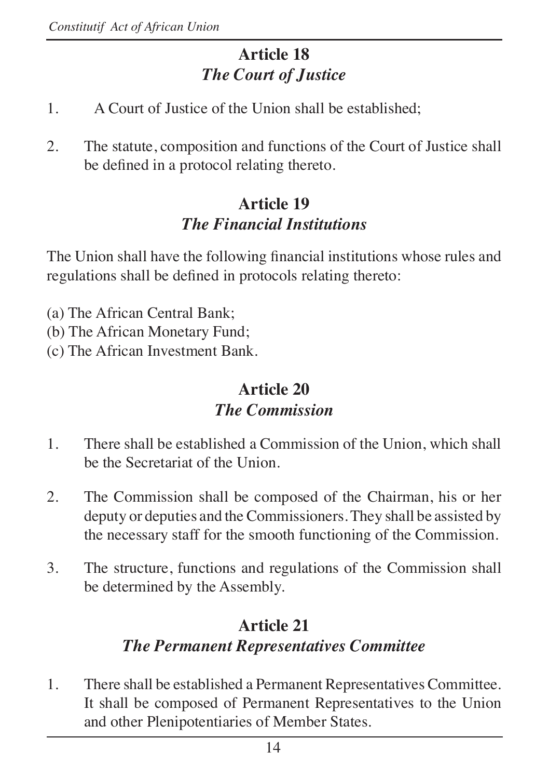# **Article 18** *The Court of Justice*

- 1. A Court of Justice of the Union shall be established;
- 2. The statute, composition and functions of the Court of Justice shall be defined in a protocol relating thereto.

### **Article 19** *<i>The Financial Institutions*

The Union shall have the following financial institutions whose rules and regulations shall be defined in protocols relating thereto:

- (a) The African Central Bank;
- (b) The African Monetary Fund;
- (c) The African Investment Bank.

## **Article 20** *The Commission*

- 1. There shall be established a Commission of the Union, which shall be the Secretariat of the Union.
- 2. The Commission shall be composed of the Chairman, his or her deputy or deputies and the Commissioners. They shall be assisted by the necessary staff for the smooth functioning of the Commission.
- 3. The structure, functions and regulations of the Commission shall be determined by the Assembly.

# **Article 21** *The Permanent Representatives Committee*

1. There shall be established a Permanent Representatives Committee. It shall be composed of Permanent Representatives to the Union and other Plenipotentiaries of Member States.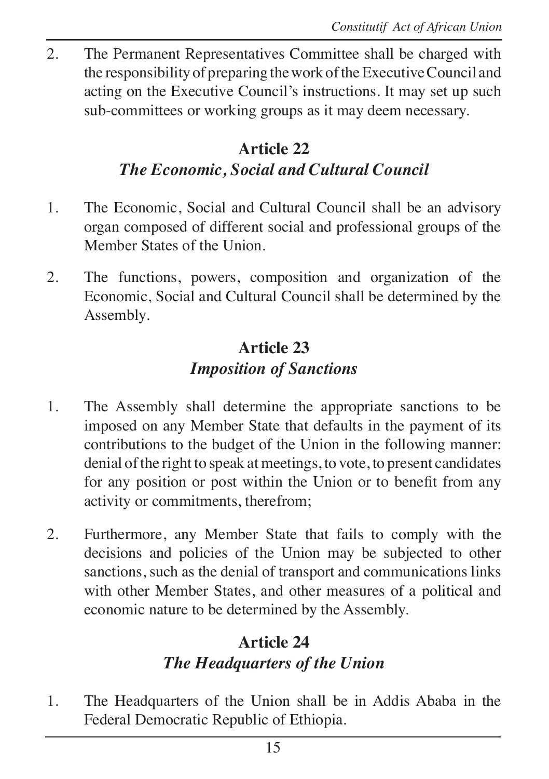2. The Permanent Representatives Committee shall be charged with the responsibility of preparing the work of the Executive Council and acting on the Executive Council's instructions. It may set up such sub-committees or working groups as it may deem necessary.

#### **Article 22** *The Economic, Social and Cultural Council*

- 1. The Economic, Social and Cultural Council shall be an advisory organ composed of different social and professional groups of the Member States of the Union.
- 2. The functions, powers, composition and organization of the Economic, Social and Cultural Council shall be determined by the Assembly.

## **Article 23** *Imposition of Sanctions*

- 1. The Assembly shall determine the appropriate sanctions to be imposed on any Member State that defaults in the payment of its contributions to the budget of the Union in the following manner: denial of the right to speak at meetings, to vote, to present candidates for any position or post within the Union or to benefit from any activity or commitments, therefrom;
- 2. Furthermore, any Member State that fails to comply with the decisions and policies of the Union may be subjected to other sanctions, such as the denial of transport and communications links with other Member States, and other measures of a political and economic nature to be determined by the Assembly.

## **Article 24** *The Headquarters of the Union*

1. The Headquarters of the Union shall be in Addis Ababa in the Federal Democratic Republic of Ethiopia.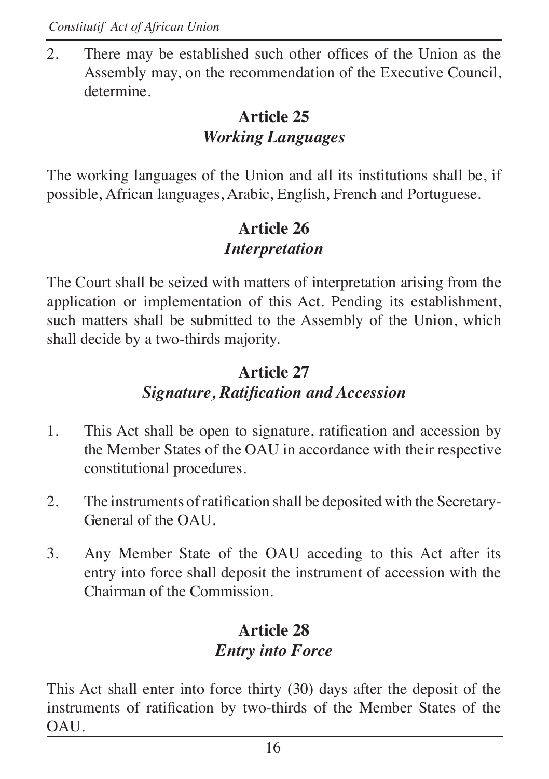2. There may be established such other offices of the Union as the Assembly may, on the recommendation of the Executive Council, determine.

## **Article 25** *Working Languages*

The working languages of the Union and all its institutions shall be, if possible, African languages, Arabic, English, French and Portuguese.

## **Article 26** *<u>Interpretation</u>*

The Court shall be seized with matters of interpretation arising from the application or implementation of this Act. Pending its establishment, such matters shall be submitted to the Assembly of the Union, which shall decide by a two-thirds majority.

## **Article 27** *Signature, Ratification and Accession*

- 1. This Act shall be open to signature, ratification and accession by the Member States of the OAU in accordance with their respective constitutional procedures.
- 2. The instruments of ratification shall be deposited with the Secretary-General of the OAU.
- 3. Any Member State of the OAU acceding to this Act after its entry into force shall deposit the instrument of accession with the Chairman of the Commission.

# **Article 28**  $E$ *ntry into Force*

This Act shall enter into force thirty (30) days after the deposit of the instruments of ratification by two-thirds of the Member States of the OAU.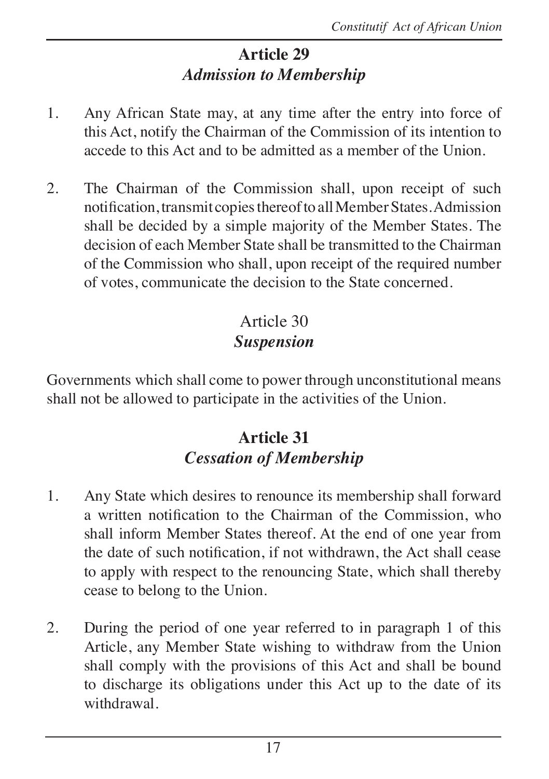# **Article 29 Admission to Membership**

- 1. Any African State may, at any time after the entry into force of this Act, notify the Chairman of the Commission of its intention to accede to this Act and to be admitted as a member of the Union.
- 2. The Chairman of the Commission shall, upon receipt of such notification, transmit copies thereof to all Member States. Admission shall be decided by a simple majority of the Member States. The decision of each Member State shall be transmitted to the Chairman of the Commission who shall, upon receipt of the required number of votes, communicate the decision to the State concerned.

# Article 30 *<u>Suspension</u>*

Governments which shall come to power through unconstitutional means shall not be allowed to participate in the activities of the Union.

## **Article 31 Cessation of Membership**

- 1. Any State which desires to renounce its membership shall forward a written notification to the Chairman of the Commission, who shall inform Member States thereof. At the end of one year from the date of such notification, if not withdrawn, the Act shall cease to apply with respect to the renouncing State, which shall thereby cease to belong to the Union.
- 2. During the period of one year referred to in paragraph 1 of this Article, any Member State wishing to withdraw from the Union shall comply with the provisions of this Act and shall be bound to discharge its obligations under this Act up to the date of its withdrawal.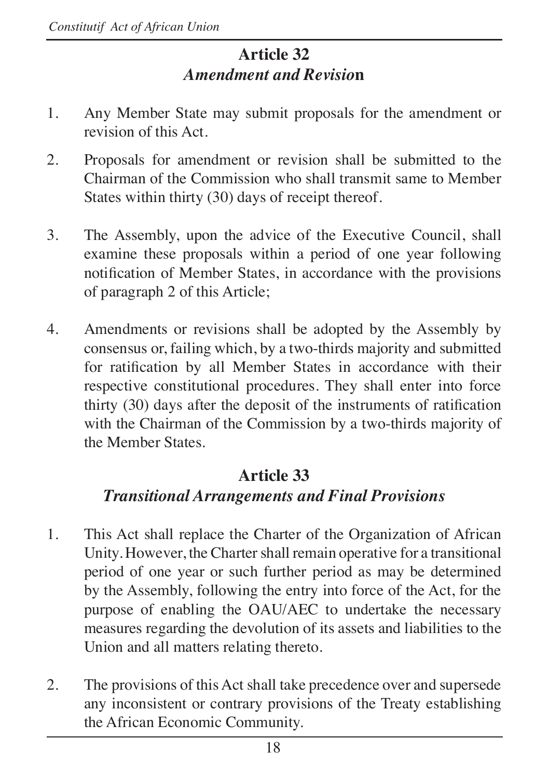# **Article 32** *Amendment and Revision*

- 1. Any Member State may submit proposals for the amendment or revision of this Act.
- 2. Proposals for amendment or revision shall be submitted to the Chairman of the Commission who shall transmit same to Member States within thirty (30) days of receipt thereof.
- 3. The Assembly, upon the advice of the Executive Council, shall examine these proposals within a period of one year following notification of Member States, in accordance with the provisions of paragraph 2 of this Article;
- 4. Amendments or revisions shall be adopted by the Assembly by consensus or, failing which, by a two-thirds majority and submitted for ratification by all Member States in accordance with their respective constitutional procedures. They shall enter into force thirty  $(30)$  days after the deposit of the instruments of ratification with the Chairman of the Commission by a two-thirds majority of the Member States.

#### **Article 33**

## *Transitional Arrangements and Final Provisions*

- 1. This Act shall replace the Charter of the Organization of African Unity. However, the Charter shall remain operative for a transitional period of one year or such further period as may be determined by the Assembly, following the entry into force of the Act, for the purpose of enabling the OAU/AEC to undertake the necessary measures regarding the devolution of its assets and liabilities to the Union and all matters relating thereto.
- 2. The provisions of this Act shall take precedence over and supersede any inconsistent or contrary provisions of the Treaty establishing the African Economic Community.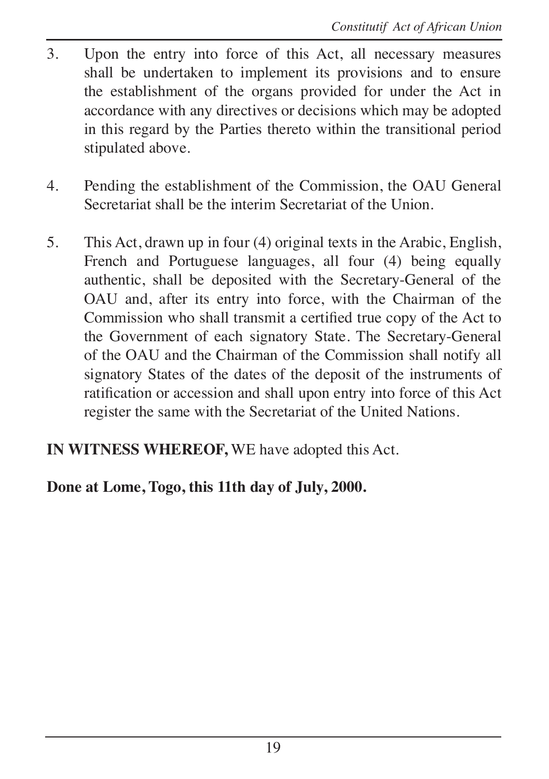- 3. Upon the entry into force of this Act, all necessary measures shall be undertaken to implement its provisions and to ensure the establishment of the organs provided for under the Act in accordance with any directives or decisions which may be adopted in this regard by the Parties thereto within the transitional period stipulated above.
- 4. Pending the establishment of the Commission, the OAU General Secretariat shall be the interim Secretariat of the Union.
- 5. This Act, drawn up in four (4) original texts in the Arabic, English, French and Portuguese languages, all four (4) being equally authentic, shall be deposited with the Secretary-General of the OAU and, after its entry into force, with the Chairman of the Commission who shall transmit a certified true copy of the Act to the Government of each signatory State. The Secretary-General of the OAU and the Chairman of the Commission shall notify all signatory States of the dates of the deposit of the instruments of ratification or accession and shall upon entry into force of this Act register the same with the Secretariat of the United Nations.

#### **IN WITNESS WHEREOF,** WE have adopted this Act.

#### **Done at Lome, Togo, this 11th day of July, 2000.**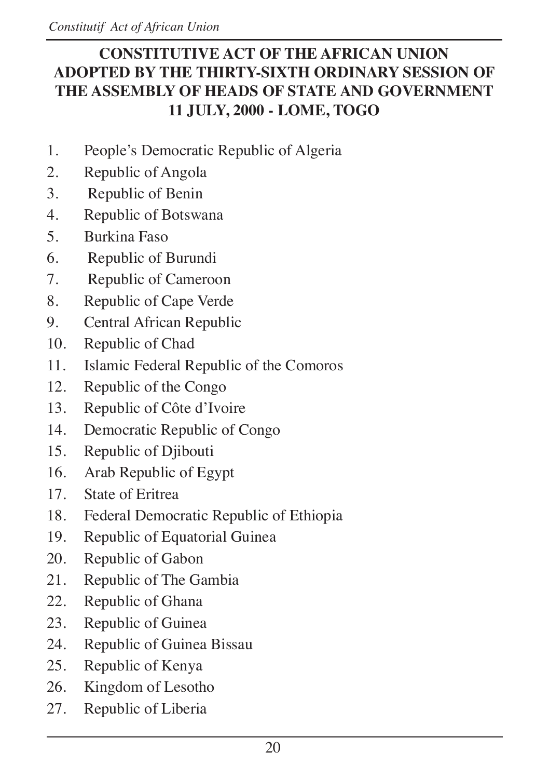#### **CONSTITUTIVE ACT OF THE AFRICAN UNION ADOPTED BY THE THIRTY-SIXTH ORDINARY SESSION OF THE ASSEMBLY OF HEADS OF STATE AND GOVERNMENT 11 JULY, 2000 - LOME, TOGO**

- 1. People's Democratic Republic of Algeria
- 2. Republic of Angola
- 3. Republic of Benin
- 4. Republic of Botswana
- 5. Burkina Faso
- 6. Republic of Burundi
- 7. Republic of Cameroon
- 8. Republic of Cape Verde
- 9. Central African Republic
- 10. Republic of Chad
- 11. Islamic Federal Republic of the Comoros
- 12. Republic of the Congo
- 13. Republic of Côte d'Ivoire
- 14. Democratic Republic of Congo
- 15. Republic of Djibouti
- 16. Arab Republic of Egypt
- 17. State of Eritrea
- 18. Federal Democratic Republic of Ethiopia
- 19. Republic of Equatorial Guinea
- 20. Republic of Gabon
- 21. Republic of The Gambia
- 22. Republic of Ghana
- 23. Republic of Guinea
- 24. Republic of Guinea Bissau
- 25. Republic of Kenya
- 26. Kingdom of Lesotho
- 27. Republic of Liberia